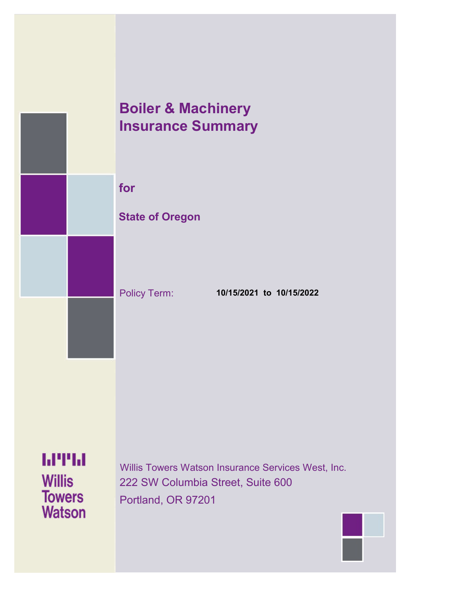# **Boiler & Machinery Insurance Summary**

**for**

### **State of Oregon**

Policy Term: **10/15/2021 to 10/15/2022**

**MTH Willis Towers Watson** 

Willis Towers Watson Insurance Services West, Inc. 222 SW Columbia Street, Suite 600 Portland, OR 97201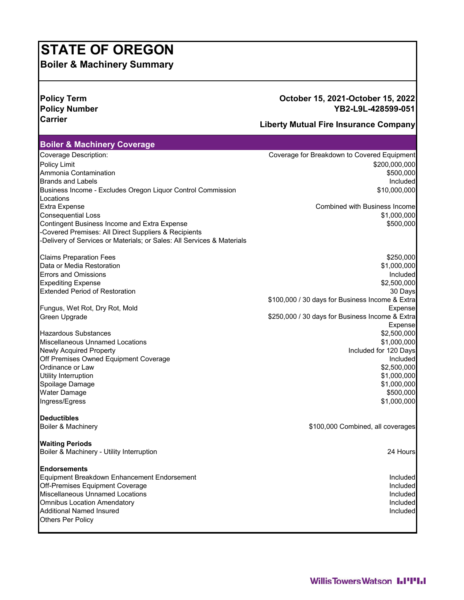# **STATE OF OREGON**

**Boiler & Machinery Summary**

### **Policy Term October 15, 2021-October 15, 2022 Policy Number YB2-L9L-428599-051**

## **Carrier Liberty Mutual Fire Insurance Company**

| <b>Boiler &amp; Machinery Coverage</b>                                 |                                                 |
|------------------------------------------------------------------------|-------------------------------------------------|
| Coverage Description:                                                  | Coverage for Breakdown to Covered Equipment     |
| <b>Policy Limit</b>                                                    | \$200,000,000                                   |
| Ammonia Contamination                                                  | \$500,000                                       |
| <b>Brands and Labels</b>                                               | Included                                        |
| Business Income - Excludes Oregon Liquor Control Commission            | \$10,000,000                                    |
| Locations                                                              |                                                 |
| <b>Extra Expense</b>                                                   | Combined with Business Income                   |
| <b>Consequential Loss</b>                                              | \$1,000,000                                     |
| Contingent Business Income and Extra Expense                           | \$500,000                                       |
| -Covered Premises: All Direct Suppliers & Recipients                   |                                                 |
| -Delivery of Services or Materials; or Sales: All Services & Materials |                                                 |
| <b>Claims Preparation Fees</b>                                         | \$250,000                                       |
| Data or Media Restoration                                              | \$1,000,000                                     |
| <b>Errors and Omissions</b>                                            | Included                                        |
| <b>Expediting Expense</b>                                              | \$2,500,000                                     |
| <b>Extended Period of Restoration</b>                                  | 30 Days                                         |
|                                                                        | \$100,000 / 30 days for Business Income & Extra |
| Fungus, Wet Rot, Dry Rot, Mold                                         | Expense                                         |
| Green Upgrade                                                          | \$250,000 / 30 days for Business Income & Extra |
|                                                                        | Expense                                         |
| <b>Hazardous Substances</b>                                            | \$2,500,000                                     |
| <b>Miscellaneous Unnamed Locations</b>                                 | \$1,000,000                                     |
| <b>Newly Acquired Property</b>                                         | Included for 120 Days                           |
| Off Premises Owned Equipment Coverage                                  | Included                                        |
| Ordinance or Law                                                       | \$2,500,000                                     |
| Utility Interruption                                                   | \$1,000,000                                     |
| Spoilage Damage                                                        | \$1,000,000                                     |
| Water Damage                                                           | \$500,000                                       |
| Ingress/Egress                                                         | \$1,000,000                                     |
| <b>Deductibles</b>                                                     |                                                 |
| Boiler & Machinery                                                     | \$100,000 Combined, all coverages               |
| <b>Waiting Periods</b>                                                 |                                                 |
| Boiler & Machinery - Utility Interruption                              | 24 Hours                                        |
| <b>Endorsements</b>                                                    |                                                 |
| Equipment Breakdown Enhancement Endorsement                            | <b>Included</b>                                 |
| Off-Premises Equipment Coverage                                        | Included                                        |
| Miscellaneous Unnamed Locations                                        | Included                                        |
| Omnibus Location Amendatory                                            | Included                                        |
| Additional Named Insured                                               | Included                                        |
| <b>Others Per Policy</b>                                               |                                                 |
|                                                                        |                                                 |